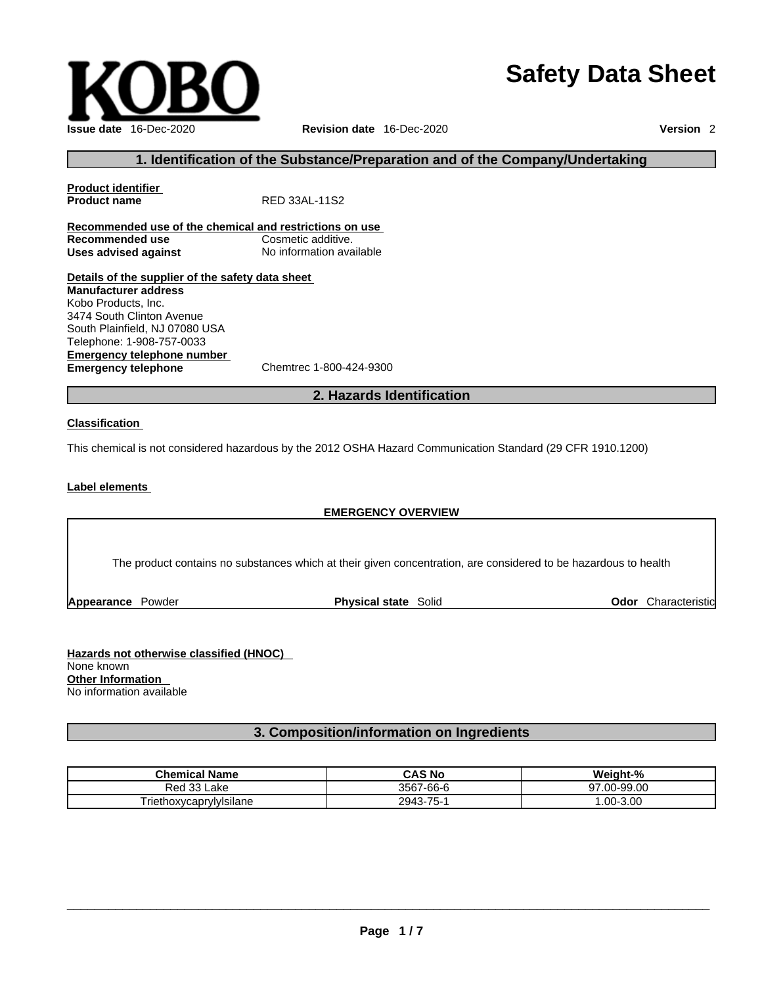# **Safety Data Sheet**



### **1. Identification of the Substance/Preparation and of the Company/Undertaking**

| <b>Product identifier</b>                               |                          |
|---------------------------------------------------------|--------------------------|
| <b>Product name</b>                                     | RED 33AL-11S2            |
|                                                         |                          |
| Recommended use of the chemical and restrictions on use |                          |
| Recommended use                                         | Cosmetic additive.       |
| Uses advised against                                    | No information available |
|                                                         |                          |
| Details of the supplier of the safety data sheet        |                          |
| <b>Manufacturer address</b>                             |                          |
| Kobo Products, Inc.                                     |                          |
| 3474 South Clinton Avenue                               |                          |
| South Plainfield, NJ 07080 USA                          |                          |
| Telephone: 1-908-757-0033                               |                          |
| <b>Emergency telephone number</b>                       |                          |
| <b>Emergency telephone</b>                              | Chemtrec 1-800-424-9300  |

#### **2. Hazards Identification**

#### **Classification**

This chemical is not considered hazardous by the 2012 OSHA Hazard Communication Standard (29 CFR 1910.1200)

#### **Label elements**

#### **EMERGENCY OVERVIEW**

The product contains no substances which at their given concentration, are considered to be hazardous to health

**Appearance Powder <b>Physical state** Solid

**Odor** Characteristic

**Hazards not otherwise classified (HNOC)**  None known **Other Information**  No information available

# **3. Composition/information on Ingredients**

| Chemical<br><b>Name</b>            | <b>CAS No</b>     | Weight-%                       |
|------------------------------------|-------------------|--------------------------------|
| ົດ<br>Кес<br>°33 Lake              | 3567<br>$-66 - F$ | -99.00<br>97<br>$\sim$<br>1-44 |
| --<br><br>I riethoxycaprylyIsilane | -75-<br>2943      | $-3.00$<br>$.00 -$             |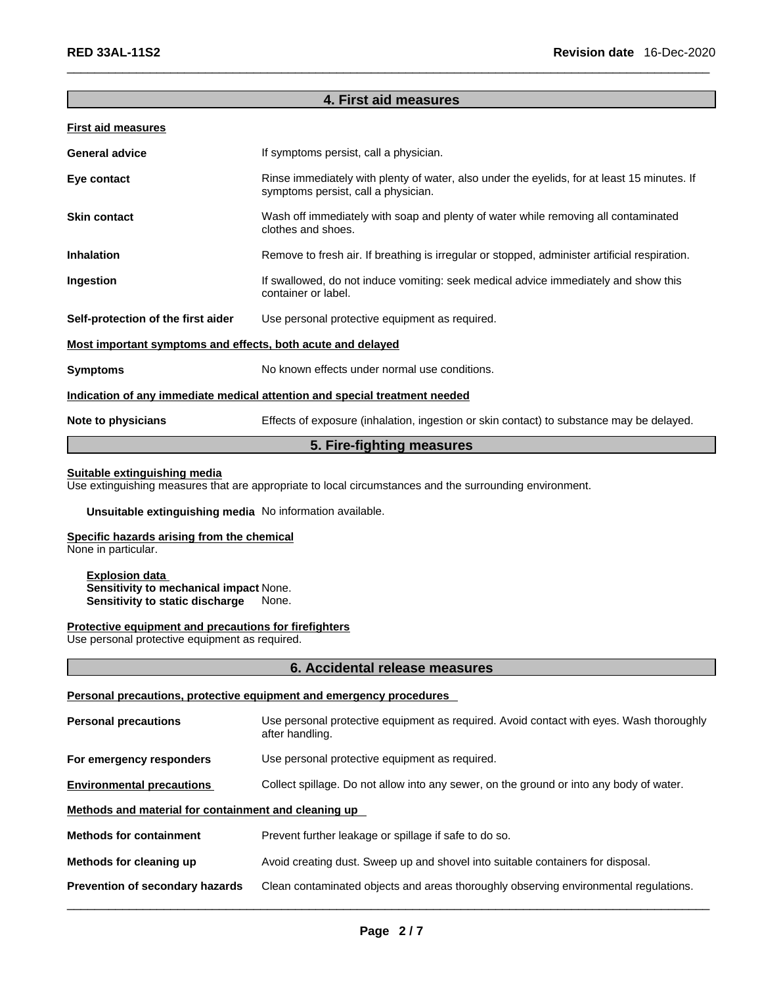#### **4. First aid measures**

|  | <b>First aid measures</b> |  |
|--|---------------------------|--|
|  |                           |  |

| <b>General advice</b>                                                      | If symptoms persist, call a physician.                                                                                             |  |
|----------------------------------------------------------------------------|------------------------------------------------------------------------------------------------------------------------------------|--|
| Eye contact                                                                | Rinse immediately with plenty of water, also under the eyelids, for at least 15 minutes. If<br>symptoms persist, call a physician. |  |
| <b>Skin contact</b>                                                        | Wash off immediately with soap and plenty of water while removing all contaminated<br>clothes and shoes.                           |  |
| <b>Inhalation</b>                                                          | Remove to fresh air. If breathing is irregular or stopped, administer artificial respiration.                                      |  |
| Ingestion                                                                  | If swallowed, do not induce vomiting: seek medical advice immediately and show this<br>container or label.                         |  |
| Self-protection of the first aider                                         | Use personal protective equipment as required.                                                                                     |  |
| Most important symptoms and effects, both acute and delayed                |                                                                                                                                    |  |
| <b>Symptoms</b>                                                            | No known effects under normal use conditions.                                                                                      |  |
| Indication of any immediate medical attention and special treatment needed |                                                                                                                                    |  |
| Note to physicians                                                         | Effects of exposure (inhalation, ingestion or skin contact) to substance may be delayed.                                           |  |

#### **5. Fire-fighting measures**

#### **Suitable extinguishing media**

Use extinguishing measures that are appropriate to local circumstances and the surrounding environment.

#### **Unsuitable extinguishing media** No information available.

# **Specific hazards arising from the chemical**

None in particular.

#### **Explosion data Sensitivity to mechanical impact** None. **Sensitivity to static discharge**

#### **Protective equipment and precautions for firefighters**

Use personal protective equipment as required.

#### **6. Accidental release measures**

#### **Personal precautions, protective equipment and emergency procedures**

| <b>Personal precautions</b>                          | Use personal protective equipment as required. Avoid contact with eyes. Wash thoroughly<br>after handling. |
|------------------------------------------------------|------------------------------------------------------------------------------------------------------------|
| For emergency responders                             | Use personal protective equipment as required.                                                             |
| <b>Environmental precautions</b>                     | Collect spillage. Do not allow into any sewer, on the ground or into any body of water.                    |
| Methods and material for containment and cleaning up |                                                                                                            |
| <b>Methods for containment</b>                       | Prevent further leakage or spillage if safe to do so.                                                      |
| Methods for cleaning up                              | Avoid creating dust. Sweep up and shovel into suitable containers for disposal.                            |
| <b>Prevention of secondary hazards</b>               | Clean contaminated objects and areas thoroughly observing environmental regulations.                       |
|                                                      |                                                                                                            |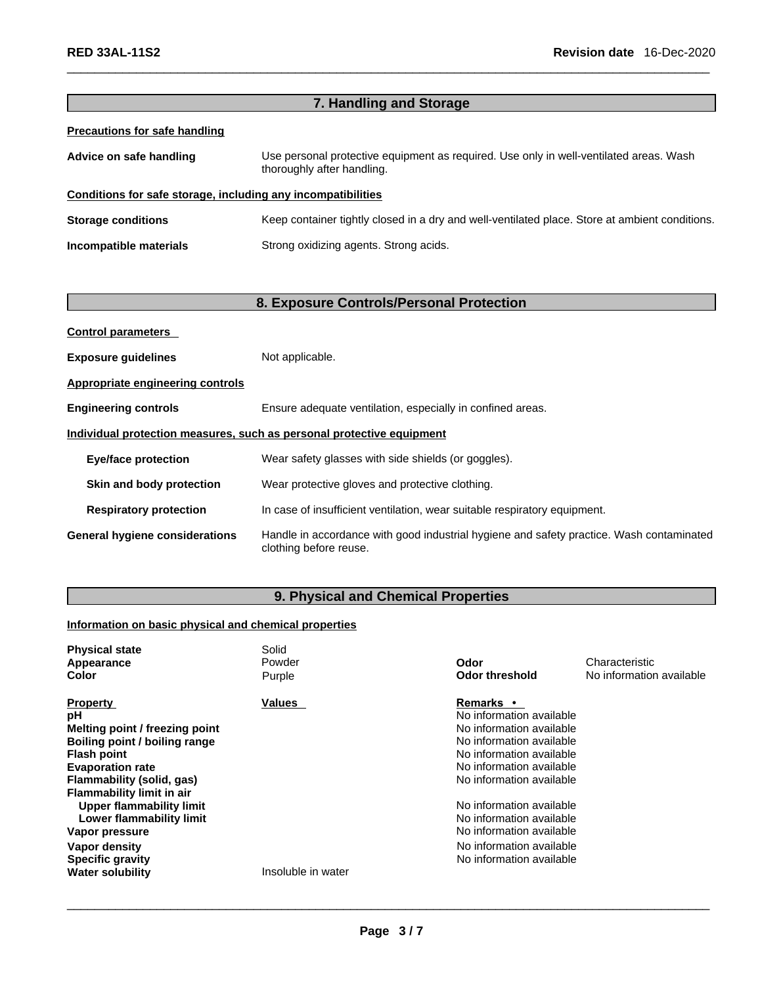|                                                              | 7. Handling and Storage                                                                                              |
|--------------------------------------------------------------|----------------------------------------------------------------------------------------------------------------------|
| <b>Precautions for safe handling</b>                         |                                                                                                                      |
| Advice on safe handling                                      | Use personal protective equipment as required. Use only in well-ventilated areas. Wash<br>thoroughly after handling. |
| Conditions for safe storage, including any incompatibilities |                                                                                                                      |
| <b>Storage conditions</b>                                    | Keep container tightly closed in a dry and well-ventilated place. Store at ambient conditions.                       |
| Incompatible materials                                       | Strong oxidizing agents. Strong acids.                                                                               |
|                                                              |                                                                                                                      |

# **8. Exposure Controls/Personal Protection**

| <b>Control parameters</b>                                             |                                                                                                                    |  |
|-----------------------------------------------------------------------|--------------------------------------------------------------------------------------------------------------------|--|
| <b>Exposure guidelines</b>                                            | Not applicable.                                                                                                    |  |
| Appropriate engineering controls                                      |                                                                                                                    |  |
| <b>Engineering controls</b>                                           | Ensure adequate ventilation, especially in confined areas.                                                         |  |
| Individual protection measures, such as personal protective equipment |                                                                                                                    |  |
| <b>Eye/face protection</b>                                            | Wear safety glasses with side shields (or goggles).                                                                |  |
| Skin and body protection                                              | Wear protective gloves and protective clothing.                                                                    |  |
| <b>Respiratory protection</b>                                         | In case of insufficient ventilation, wear suitable respiratory equipment.                                          |  |
| <b>General hygiene considerations</b>                                 | Handle in accordance with good industrial hygiene and safety practice. Wash contaminated<br>clothing before reuse. |  |

# **9. Physical and Chemical Properties**

# **Information on basic physical and chemical properties**

| <b>Physical state</b>            | Solid              |                          |                          |
|----------------------------------|--------------------|--------------------------|--------------------------|
| Appearance                       | Powder             | Odor                     | Characteristic           |
| Color                            | Purple             | <b>Odor threshold</b>    | No information available |
| <b>Property</b>                  | <b>Values</b>      | <b>Remarks</b> •         |                          |
| рH                               |                    | No information available |                          |
| Melting point / freezing point   |                    | No information available |                          |
| Boiling point / boiling range    |                    | No information available |                          |
| <b>Flash point</b>               |                    | No information available |                          |
| <b>Evaporation rate</b>          |                    | No information available |                          |
| Flammability (solid, gas)        |                    | No information available |                          |
| <b>Flammability limit in air</b> |                    |                          |                          |
| <b>Upper flammability limit</b>  |                    | No information available |                          |
| Lower flammability limit         |                    | No information available |                          |
| Vapor pressure                   |                    | No information available |                          |
| Vapor density                    |                    | No information available |                          |
| <b>Specific gravity</b>          |                    | No information available |                          |
| <b>Water solubility</b>          | Insoluble in water |                          |                          |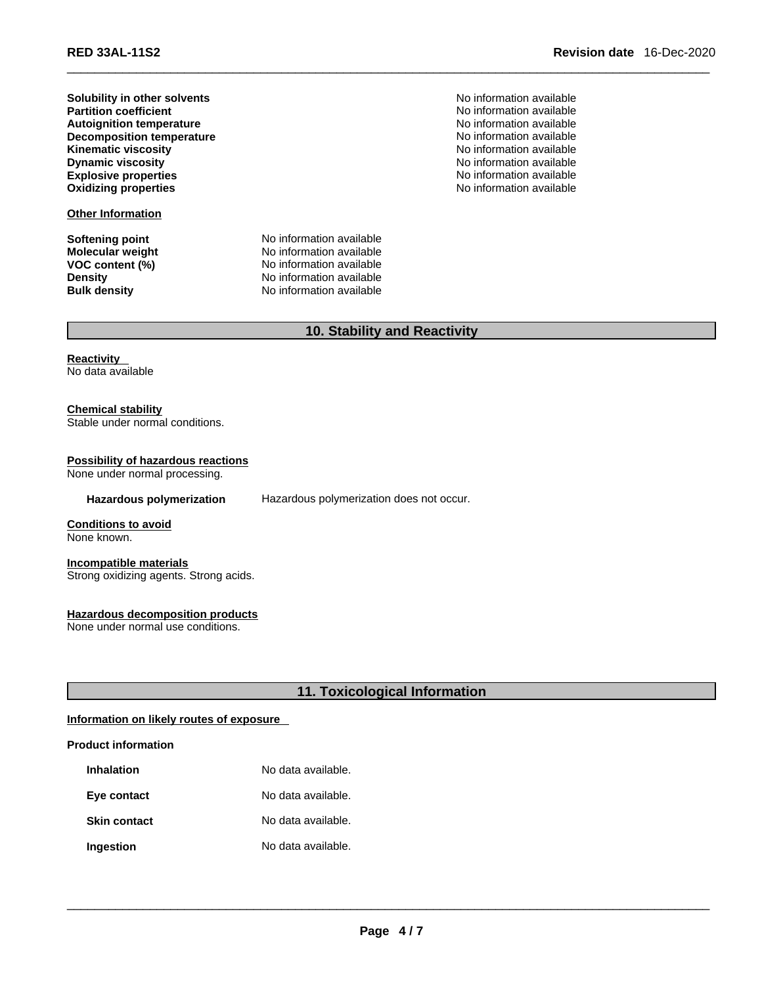**Solubility in other solvents** No information available **Autoignition temperature**<br> **Decomposition temperature No** information available<br>
No information available **Decomposition temperature**  $\blacksquare$  No information available<br> **Kinematic viscosity** No information available **Kinematic viscosity**<br> **Rividing the Contract of Contract Contract Contract Contract Contract Contract Contract Contract Contract Contract Contract Contract Contract Contract Contract Contract Contract Contract Contract Co Dynamic viscosity**<br> **Dynamic viscosity**<br> **Explosive properties**<br> **Explosive properties Explosive properties**<br> **Explosive properties**<br> **Oxidizing properties**<br> **Oxidizing properties**<br> **No information available Oxidizing properties** 

**Other Information**

**Softening point**<br> **Molecular weight**<br> **Molecular weight**<br> **Molecular weight**<br> **Molecular weight Molecular weight** No information available<br> **VOC content (%)** No information available **No information available Density Density Density No information available Bulk density No information available No information available**  No information available<br>No information available

# **10. Stability and Reactivity**

**Reactivity**  No data available

**Chemical stability** Stable under normal conditions.

**Possibility of hazardous reactions** None under normal processing.

**Hazardous polymerization** Hazardous polymerization does not occur.

**Conditions to avoid** None known.

**Incompatible materials** Strong oxidizing agents. Strong acids.

**Hazardous decomposition products** None under normal use conditions.

**11. Toxicological Information** 

#### **Information on likely routes of exposure**

#### **Product information**

| Inhalation          | No data available. |
|---------------------|--------------------|
| Eye contact         | No data available. |
| <b>Skin contact</b> | No data available. |
| Ingestion           | No data available. |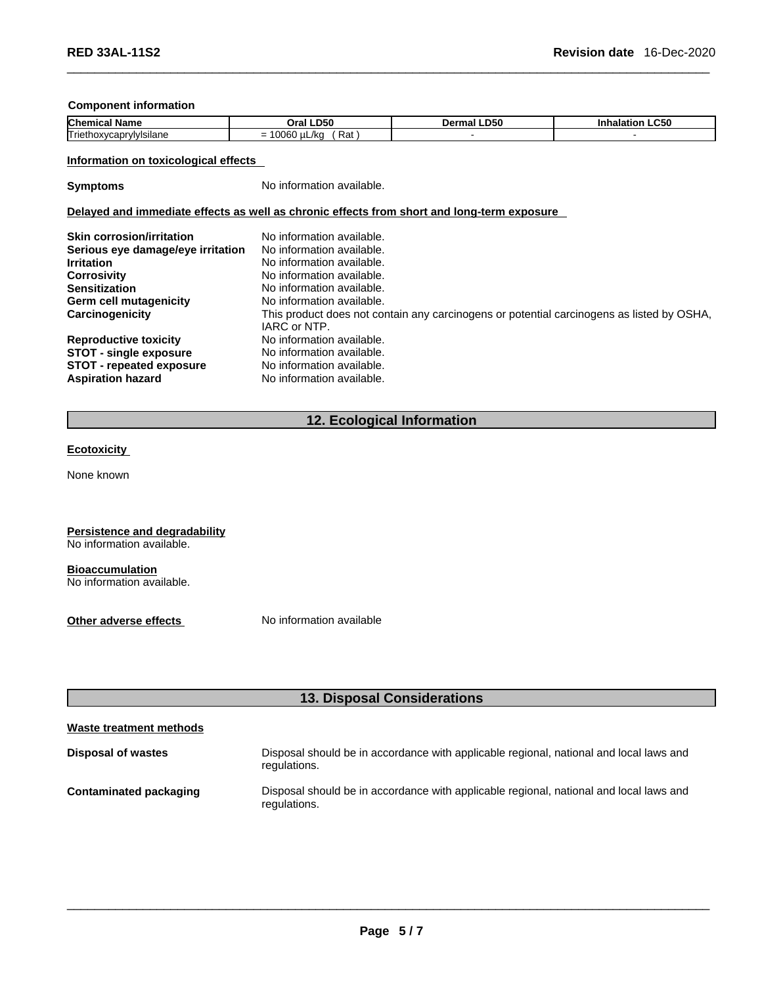#### **Component information**

| <b>Chemical</b><br>' Nam⊾     | LD50<br>Oral                              | <b>LD50</b><br>rmal .<br>Der | .C50<br>панатног |
|-------------------------------|-------------------------------------------|------------------------------|------------------|
| Triethoxycapry<br>rvivisilane | 0.000<br>′ Rat<br>uL/kc<br>m<br>-<br>∣∪∪∪ |                              |                  |

#### **Information on toxicological effects**

**Symptoms** No information available.

#### **Delayed and immediate effects as well as chronic effects from short and long-term exposure**

| <b>Skin corrosion/irritation</b>  | No information available.                                                                 |
|-----------------------------------|-------------------------------------------------------------------------------------------|
| Serious eye damage/eye irritation | No information available.                                                                 |
| <b>Irritation</b>                 | No information available.                                                                 |
| Corrosivity                       | No information available.                                                                 |
| <b>Sensitization</b>              | No information available.                                                                 |
| Germ cell mutagenicity            | No information available.                                                                 |
| Carcinogenicity                   | This product does not contain any carcinogens or potential carcinogens as listed by OSHA, |
|                                   | IARC or NTP.                                                                              |
| <b>Reproductive toxicity</b>      | No information available.                                                                 |
| <b>STOT - single exposure</b>     | No information available.                                                                 |
| <b>STOT - repeated exposure</b>   | No information available.                                                                 |
| <b>Aspiration hazard</b>          | No information available.                                                                 |

# **12. Ecological Information**

#### **Ecotoxicity**

None known

#### **Persistence and degradability**

No information available.

#### **Bioaccumulation**

No information available.

**Other adverse effects** No information available

# **13. Disposal Considerations**

#### **Waste treatment methods**

| Disposal of wastes     | Disposal should be in accordance with applicable regional, national and local laws and<br>regulations. |
|------------------------|--------------------------------------------------------------------------------------------------------|
| Contaminated packaging | Disposal should be in accordance with applicable regional, national and local laws and<br>regulations. |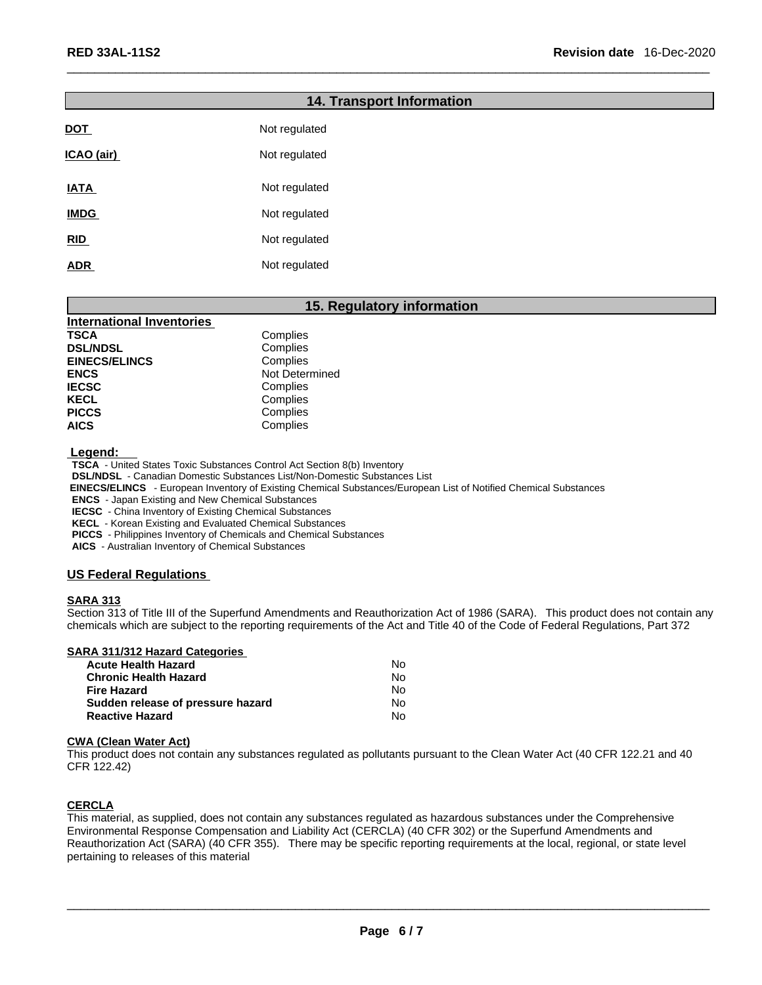|             | <b>14. Transport Information</b> |  |
|-------------|----------------------------------|--|
| <b>DOT</b>  | Not regulated                    |  |
| ICAO (air)  | Not regulated                    |  |
| <b>IATA</b> | Not regulated                    |  |
| <b>IMDG</b> | Not regulated                    |  |
| RID         | Not regulated                    |  |
| <b>ADR</b>  | Not regulated                    |  |

#### **15. Regulatory information**

| <b>International Inventories</b> |                |
|----------------------------------|----------------|
| <b>TSCA</b>                      | Complies       |
| <b>DSL/NDSL</b>                  | Complies       |
| <b>EINECS/ELINCS</b>             | Complies       |
| <b>ENCS</b>                      | Not Determined |
| <b>IECSC</b>                     | Complies       |
| <b>KECL</b>                      | Complies       |
| <b>PICCS</b>                     | Complies       |
| <b>AICS</b>                      | Complies       |

 **Legend:** 

**TSCA** - United States Toxic Substances Control Act Section 8(b) Inventory

**DSL/NDSL** - Canadian Domestic Substances List/Non-Domestic Substances List

 **EINECS/ELINCS** - European Inventory of Existing Chemical Substances/European List of Notified Chemical Substances

**ENCS** - Japan Existing and New Chemical Substances

**IECSC** - China Inventory of Existing Chemical Substances

**KECL** - Korean Existing and Evaluated Chemical Substances

**PICCS** - Philippines Inventory of Chemicals and Chemical Substances

**AICS** - Australian Inventory of Chemical Substances

#### **US Federal Regulations**

#### **SARA 313**

Section 313 of Title III of the Superfund Amendments and Reauthorization Act of 1986 (SARA). This product does not contain any chemicals which are subject to the reporting requirements of the Act and Title 40 of the Code of Federal Regulations, Part 372

#### **SARA 311/312 Hazard Categories**

| <b>Acute Health Hazard</b>        | No |
|-----------------------------------|----|
| <b>Chronic Health Hazard</b>      | N٥ |
| Fire Hazard                       | N٥ |
| Sudden release of pressure hazard | N٥ |
| <b>Reactive Hazard</b>            | N٥ |

#### **CWA** (Clean Water Act)

This product does not contain any substances regulated as pollutants pursuant to the Clean Water Act (40 CFR 122.21 and 40 CFR 122.42)

#### **CERCLA**

This material, as supplied, does not contain any substances regulated as hazardous substances under the Comprehensive Environmental Response Compensation and Liability Act (CERCLA) (40 CFR 302) or the Superfund Amendments and Reauthorization Act (SARA) (40 CFR 355). There may be specific reporting requirements at the local, regional, or state level pertaining to releases of this material